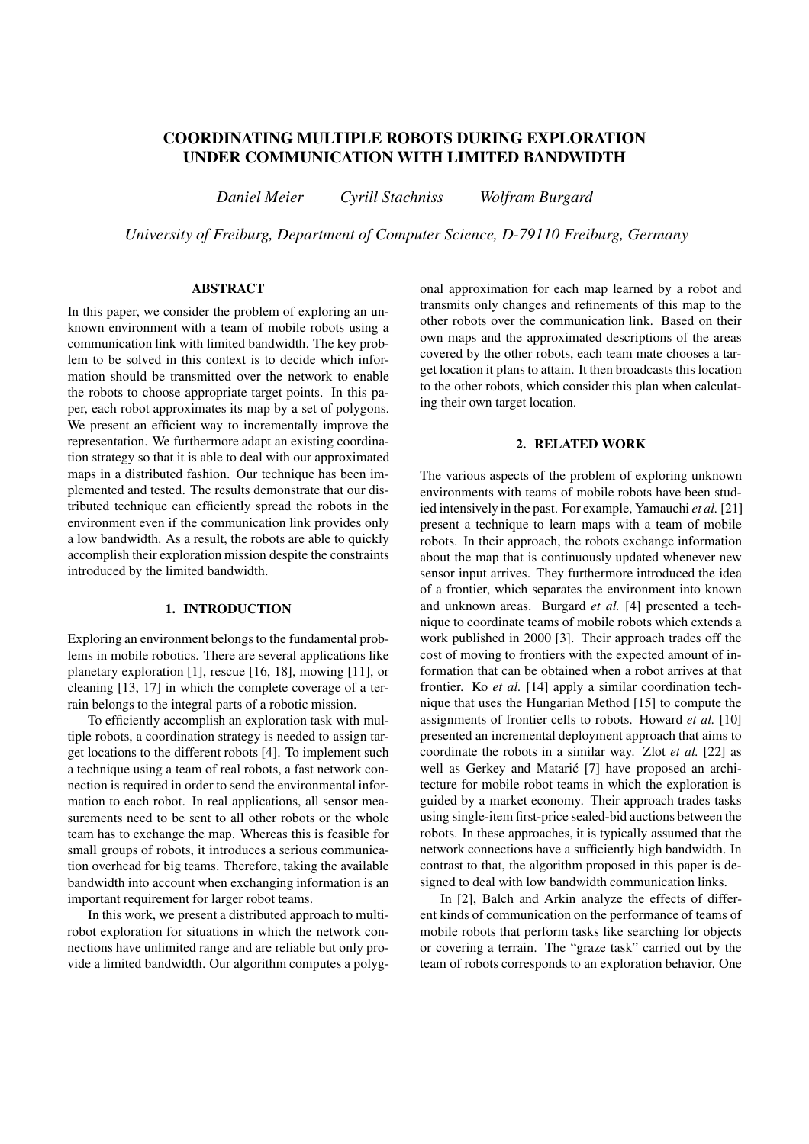# **COORDINATING MULTIPLE ROBOTS DURING EXPLORATION UNDER COMMUNICATION WITH LIMITED BANDWIDTH**

*Daniel Meier Cyrill Stachniss Wolfram Burgard*

*University of Freiburg, Department of Computer Science, D-79110 Freiburg, Germany*

## **ABSTRACT**

In this paper, we consider the problem of exploring an unknown environment with a team of mobile robots using a communication link with limited bandwidth. The key problem to be solved in this context is to decide which information should be transmitted over the network to enable the robots to choose appropriate target points. In this paper, each robot approximates its map by a set of polygons. We present an efficient way to incrementally improve the representation. We furthermore adapt an existing coordination strategy so that it is able to deal with our approximated maps in a distributed fashion. Our technique has been implemented and tested. The results demonstrate that our distributed technique can efficiently spread the robots in the environment even if the communication link provides only a low bandwidth. As a result, the robots are able to quickly accomplish their exploration mission despite the constraints introduced by the limited bandwidth.

## **1. INTRODUCTION**

Exploring an environment belongs to the fundamental problems in mobile robotics. There are several applications like planetary exploration [1], rescue [16, 18], mowing [11], or cleaning [13, 17] in which the complete coverage of a terrain belongs to the integral parts of a robotic mission.

To efficiently accomplish an exploration task with multiple robots, a coordination strategy is needed to assign target locations to the different robots [4]. To implement such a technique using a team of real robots, a fast network connection is required in order to send the environmental information to each robot. In real applications, all sensor measurements need to be sent to all other robots or the whole team has to exchange the map. Whereas this is feasible for small groups of robots, it introduces a serious communication overhead for big teams. Therefore, taking the available bandwidth into account when exchanging information is an important requirement for larger robot teams.

In this work, we present a distributed approach to multirobot exploration for situations in which the network connections have unlimited range and are reliable but only provide a limited bandwidth. Our algorithm computes a polyg-

onal approximation for each map learned by a robot and transmits only changes and refinements of this map to the other robots over the communication link. Based on their own maps and the approximated descriptions of the areas covered by the other robots, each team mate chooses a target location it plans to attain. It then broadcasts this location to the other robots, which consider this plan when calculating their own target location.

## **2. RELATED WORK**

The various aspects of the problem of exploring unknown environments with teams of mobile robots have been studied intensively in the past. For example, Yamauchi *et al.* [21] present a technique to learn maps with a team of mobile robots. In their approach, the robots exchange information about the map that is continuously updated whenever new sensor input arrives. They furthermore introduced the idea of a frontier, which separates the environment into known and unknown areas. Burgard *et al.* [4] presented a technique to coordinate teams of mobile robots which extends a work published in 2000 [3]. Their approach trades off the cost of moving to frontiers with the expected amount of information that can be obtained when a robot arrives at that frontier. Ko *et al.* [14] apply a similar coordination technique that uses the Hungarian Method [15] to compute the assignments of frontier cells to robots. Howard *et al.* [10] presented an incremental deployment approach that aims to coordinate the robots in a similar way. Zlot *et al.* [22] as well as Gerkey and Matarić [7] have proposed an architecture for mobile robot teams in which the exploration is guided by a market economy. Their approach trades tasks using single-item first-price sealed-bid auctions between the robots. In these approaches, it is typically assumed that the network connections have a sufficiently high bandwidth. In contrast to that, the algorithm proposed in this paper is designed to deal with low bandwidth communication links.

In [2], Balch and Arkin analyze the effects of different kinds of communication on the performance of teams of mobile robots that perform tasks like searching for objects or covering a terrain. The "graze task" carried out by the team of robots corresponds to an exploration behavior. One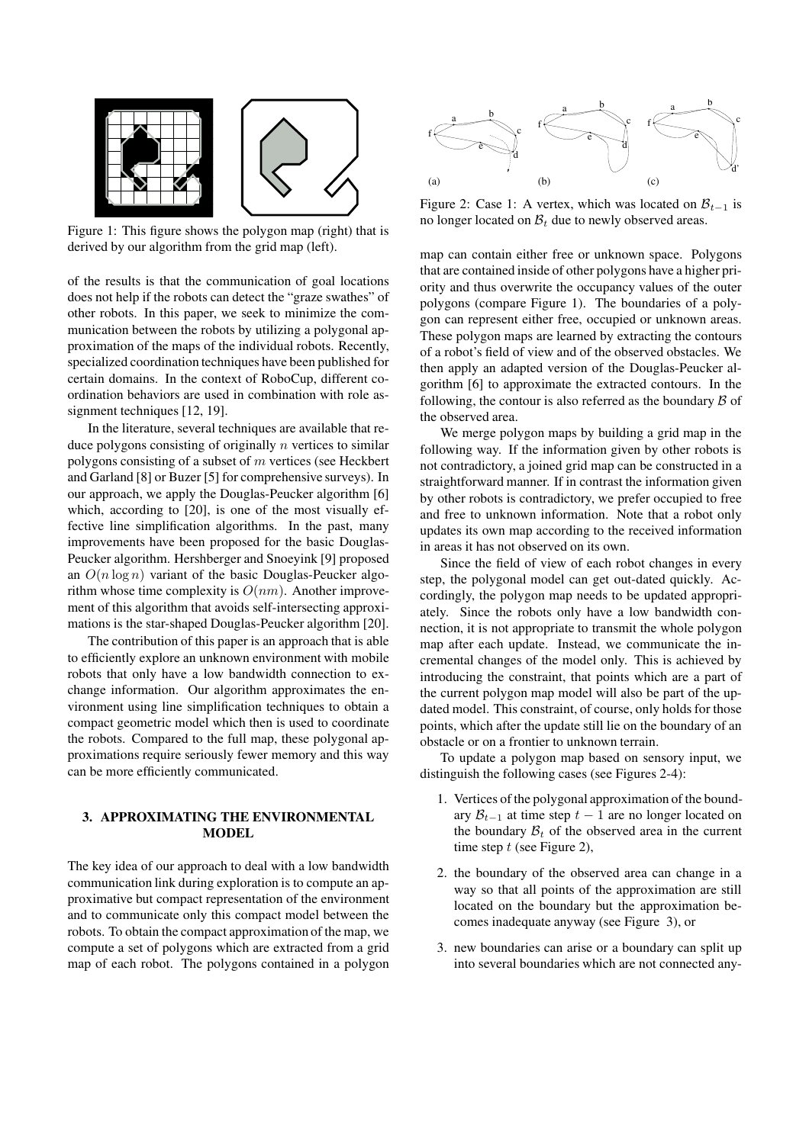

Figure 1: This figure shows the polygon map (right) that is derived by our algorithm from the grid map (left).

of the results is that the communication of goal locations does not help if the robots can detect the "graze swathes" of other robots. In this paper, we seek to minimize the communication between the robots by utilizing a polygonal approximation of the maps of the individual robots. Recently, specialized coordination techniques have been published for certain domains. In the context of RoboCup, different coordination behaviors are used in combination with role assignment techniques [12, 19].

In the literature, several techniques are available that reduce polygons consisting of originally  $n$  vertices to similar polygons consisting of a subset of  $m$  vertices (see Heckbert and Garland [8] or Buzer [5] for comprehensive surveys). In our approach, we apply the Douglas-Peucker algorithm [6] which, according to [20], is one of the most visually effective line simplification algorithms. In the past, many improvements have been proposed for the basic Douglas-Peucker algorithm. Hershberger and Snoeyink [9] proposed an  $O(n \log n)$  variant of the basic Douglas-Peucker algorithm whose time complexity is  $O(nm)$ . Another improvement of this algorithm that avoids self-intersecting approximations is the star-shaped Douglas-Peucker algorithm [20].

The contribution of this paper is an approach that is able to efficiently explore an unknown environment with mobile robots that only have a low bandwidth connection to exchange information. Our algorithm approximates the environment using line simplification techniques to obtain a compact geometric model which then is used to coordinate the robots. Compared to the full map, these polygonal approximations require seriously fewer memory and this way can be more efficiently communicated.

## **3. APPROXIMATING THE ENVIRONMENTAL MODEL**

The key idea of our approach to deal with a low bandwidth communication link during exploration is to compute an approximative but compact representation of the environment and to communicate only this compact model between the robots. To obtain the compact approximation of the map, we compute a set of polygons which are extracted from a grid map of each robot. The polygons contained in a polygon



Figure 2: Case 1: A vertex, which was located on  $\mathcal{B}_{t-1}$  is no longer located on  $\mathcal{B}_t$  due to newly observed areas.

map can contain either free or unknown space. Polygons that are contained inside of other polygons have a higher priority and thus overwrite the occupancy values of the outer polygons (compare Figure 1). The boundaries of a polygon can represent either free, occupied or unknown areas. These polygon maps are learned by extracting the contours of a robot's field of view and of the observed obstacles. We then apply an adapted version of the Douglas-Peucker algorithm [6] to approximate the extracted contours. In the following, the contour is also referred as the boundary  $\beta$  of the observed area.

We merge polygon maps by building a grid map in the following way. If the information given by other robots is not contradictory, a joined grid map can be constructed in a straightforward manner. If in contrast the information given by other robots is contradictory, we prefer occupied to free and free to unknown information. Note that a robot only updates its own map according to the received information in areas it has not observed on its own.

Since the field of view of each robot changes in every step, the polygonal model can get out-dated quickly. Accordingly, the polygon map needs to be updated appropriately. Since the robots only have a low bandwidth connection, it is not appropriate to transmit the whole polygon map after each update. Instead, we communicate the incremental changes of the model only. This is achieved by introducing the constraint, that points which are a part of the current polygon map model will also be part of the updated model. This constraint, of course, only holds for those points, which after the update still lie on the boundary of an obstacle or on a frontier to unknown terrain.

To update a polygon map based on sensory input, we distinguish the following cases (see Figures 2-4):

- 1. Vertices of the polygonal approximation of the boundary  $\mathcal{B}_{t-1}$  at time step  $t-1$  are no longer located on the boundary  $B_t$  of the observed area in the current time step  $t$  (see Figure 2),
- 2. the boundary of the observed area can change in a way so that all points of the approximation are still located on the boundary but the approximation becomes inadequate anyway (see Figure 3), or
- 3. new boundaries can arise or a boundary can split up into several boundaries which are not connected any-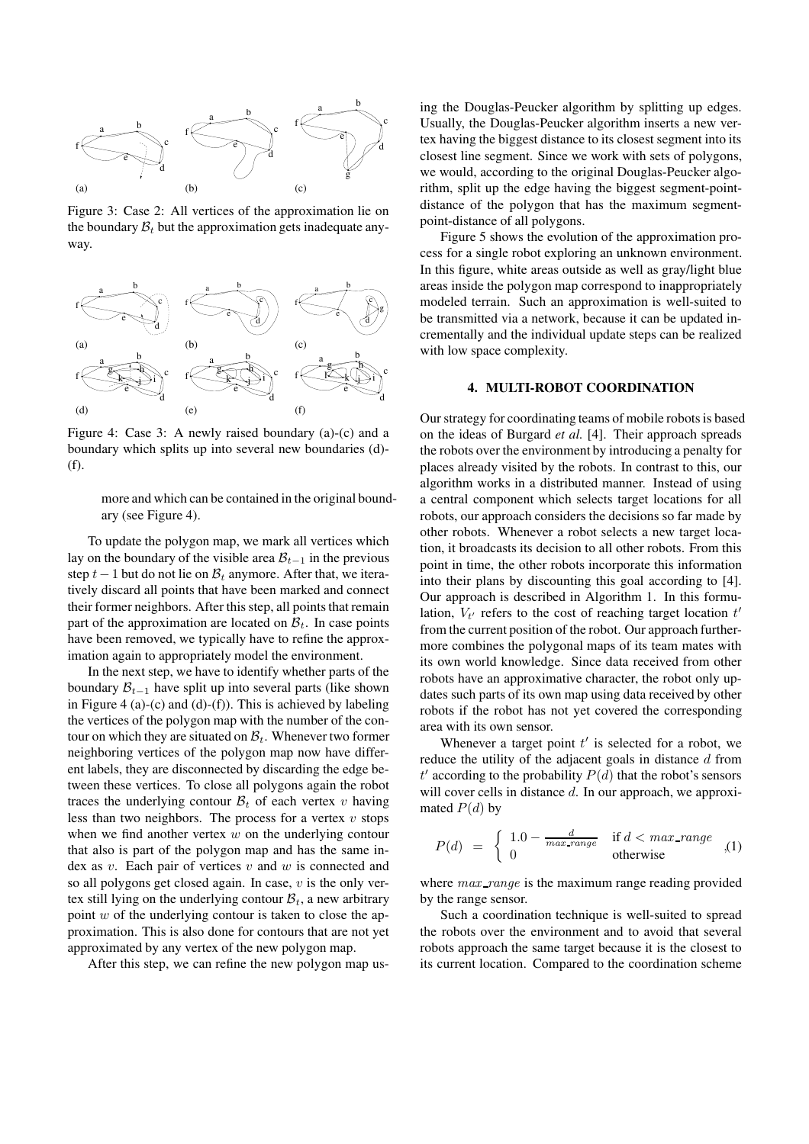

Figure 3: Case 2: All vertices of the approximation lie on the boundary  $B_t$  but the approximation gets inadequate anyway.



Figure 4: Case 3: A newly raised boundary (a)-(c) and a boundary which splits up into several new boundaries (d)- (f).

more and which can be contained in the original boundary (see Figure 4).

To update the polygon map, we mark all vertices which lay on the boundary of the visible area  $\mathcal{B}_{t-1}$  in the previous step  $t-1$  but do not lie on  $B_t$  anymore. After that, we iteratively discard all points that have been marked and connect their former neighbors. After this step, all points that remain part of the approximation are located on  $B_t$ . In case points have been removed, we typically have to refine the approximation again to appropriately model the environment.

In the next step, we have to identify whether parts of the boundary  $\mathcal{B}_{t-1}$  have split up into several parts (like shown in Figure 4 (a)-(c) and (d)-(f)). This is achieved by labeling the vertices of the polygon map with the number of the contour on which they are situated on  $B_t$ . Whenever two former neighboring vertices of the polygon map now have different labels, they are disconnected by discarding the edge between these vertices. To close all polygons again the robot traces the underlying contour  $B_t$  of each vertex v having less than two neighbors. The process for a vertex  $v$  stops when we find another vertex  $w$  on the underlying contour that also is part of the polygon map and has the same index as  $v$ . Each pair of vertices  $v$  and  $w$  is connected and so all polygons get closed again. In case,  $v$  is the only vertex still lying on the underlying contour  $B_t$ , a new arbitrary point  $w$  of the underlying contour is taken to close the approximation. This is also done for contours that are not yet approximated by any vertex of the new polygon map.

After this step, we can refine the new polygon map us-

ing the Douglas-Peucker algorithm by splitting up edges. Usually, the Douglas-Peucker algorithm inserts a new vertex having the biggest distance to its closest segment into its closest line segment. Since we work with sets of polygons, we would, according to the original Douglas-Peucker algorithm, split up the edge having the biggest segment-pointdistance of the polygon that has the maximum segmentpoint-distance of all polygons.

Figure 5 shows the evolution of the approximation process for a single robot exploring an unknown environment. In this figure, white areas outside as well as gray/light blue areas inside the polygon map correspond to inappropriately modeled terrain. Such an approximation is well-suited to be transmitted via a network, because it can be updated incrementally and the individual update steps can be realized with low space complexity.

#### **4. MULTI-ROBOT COORDINATION**

Our strategy for coordinating teams of mobile robots is based on the ideas of Burgard *et al.* [4]. Their approach spreads the robots over the environment by introducing a penalty for places already visited by the robots. In contrast to this, our algorithm works in a distributed manner. Instead of using a central component which selects target locations for all robots, our approach considers the decisions so far made by other robots. Whenever a robot selects a new target location, it broadcasts its decision to all other robots. From this point in time, the other robots incorporate this information into their plans by discounting this goal according to [4]. Our approach is described in Algorithm 1. In this formulation,  $V_{t'}$  refers to the cost of reaching target location  $t'$ from the current position of the robot. Our approach furthermore combines the polygonal maps of its team mates with its own world knowledge. Since data received from other robots have an approximative character, the robot only updates such parts of its own map using data received by other robots if the robot has not yet covered the corresponding area with its own sensor.

Whenever a target point  $t'$  is selected for a robot, we reduce the utility of the adjacent goals in distance  $d$  from  $t'$  according to the probability  $P(d)$  that the robot's sensors will cover cells in distance  $d$ . In our approach, we approximated  $P(d)$  by

$$
P(d) = \begin{cases} 1.0 - \frac{d}{max\_range} & \text{if } d < max\_range \\ 0 & \text{otherwise} \end{cases} \tag{1}
$$

where  $max\_range$  is the maximum range reading provided by the range sensor.

Such a coordination technique is well-suited to spread the robots over the environment and to avoid that several robots approach the same target because it is the closest to its current location. Compared to the coordination scheme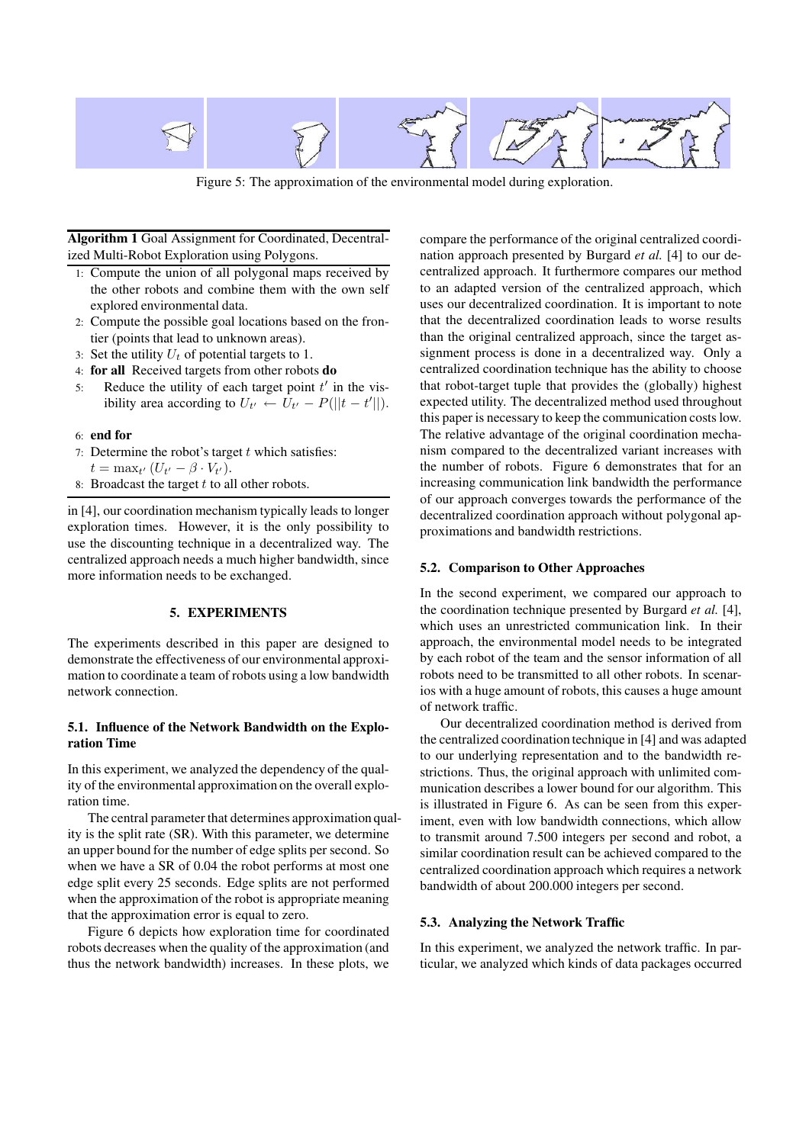

Figure 5: The approximation of the environmental model during exploration.

**Algorithm 1** Goal Assignment for Coordinated, Decentralized Multi-Robot Exploration using Polygons.

- 1: Compute the union of all polygonal maps received by the other robots and combine them with the own self explored environmental data.
- 2: Compute the possible goal locations based on the frontier (points that lead to unknown areas).
- 3: Set the utility  $U_t$  of potential targets to 1.
- 4: **for all** Received targets from other robots **do**
- 5: Reduce the utility of each target point  $t'$  in the visibility area according to  $U_{t'} \leftarrow U_{t'} - P(||t - t'||)$ .

#### 6: **end for**

- 7: Determine the robot's target  $t$  which satisfies:
- $t = \max_{t'} (U_{t'} \beta \cdot V_{t'}).$
- 8: Broadcast the target  $t$  to all other robots.

in [4], our coordination mechanism typically leads to longer exploration times. However, it is the only possibility to use the discounting technique in a decentralized way. The centralized approach needs a much higher bandwidth, since more information needs to be exchanged.

#### **5. EXPERIMENTS**

The experiments described in this paper are designed to demonstrate the effectiveness of our environmental approximation to coordinate a team of robots using a low bandwidth network connection.

### **5.1. Influence of the Network Bandwidth on the Exploration Time**

In this experiment, we analyzed the dependency of the quality of the environmental approximation on the overall exploration time.

The central parameter that determines approximation quality is the split rate (SR). With this parameter, we determine an upper bound for the number of edge splits per second. So when we have a SR of 0.04 the robot performs at most one edge split every 25 seconds. Edge splits are not performed when the approximation of the robot is appropriate meaning that the approximation error is equal to zero.

Figure 6 depicts how exploration time for coordinated robots decreases when the quality of the approximation (and thus the network bandwidth) increases. In these plots, we compare the performance of the original centralized coordination approach presented by Burgard *et al.* [4] to our decentralized approach. It furthermore compares our method to an adapted version of the centralized approach, which uses our decentralized coordination. It is important to note that the decentralized coordination leads to worse results than the original centralized approach, since the target assignment process is done in a decentralized way. Only a centralized coordination technique has the ability to choose that robot-target tuple that provides the (globally) highest expected utility. The decentralized method used throughout this paper is necessary to keep the communication costs low. The relative advantage of the original coordination mechanism compared to the decentralized variant increases with the number of robots. Figure 6 demonstrates that for an increasing communication link bandwidth the performance of our approach converges towards the performance of the decentralized coordination approach without polygonal approximations and bandwidth restrictions.

## **5.2. Comparison to Other Approaches**

In the second experiment, we compared our approach to the coordination technique presented by Burgard *et al.* [4], which uses an unrestricted communication link. In their approach, the environmental model needs to be integrated by each robot of the team and the sensor information of all robots need to be transmitted to all other robots. In scenarios with a huge amount of robots, this causes a huge amount of network traffic.

Our decentralized coordination method is derived from the centralized coordination technique in [4] and was adapted to our underlying representation and to the bandwidth restrictions. Thus, the original approach with unlimited communication describes a lower bound for our algorithm. This is illustrated in Figure 6. As can be seen from this experiment, even with low bandwidth connections, which allow to transmit around 7.500 integers per second and robot, a similar coordination result can be achieved compared to the centralized coordination approach which requires a network bandwidth of about 200.000 integers per second.

#### **5.3. Analyzing the Network Traffic**

In this experiment, we analyzed the network traffic. In particular, we analyzed which kinds of data packages occurred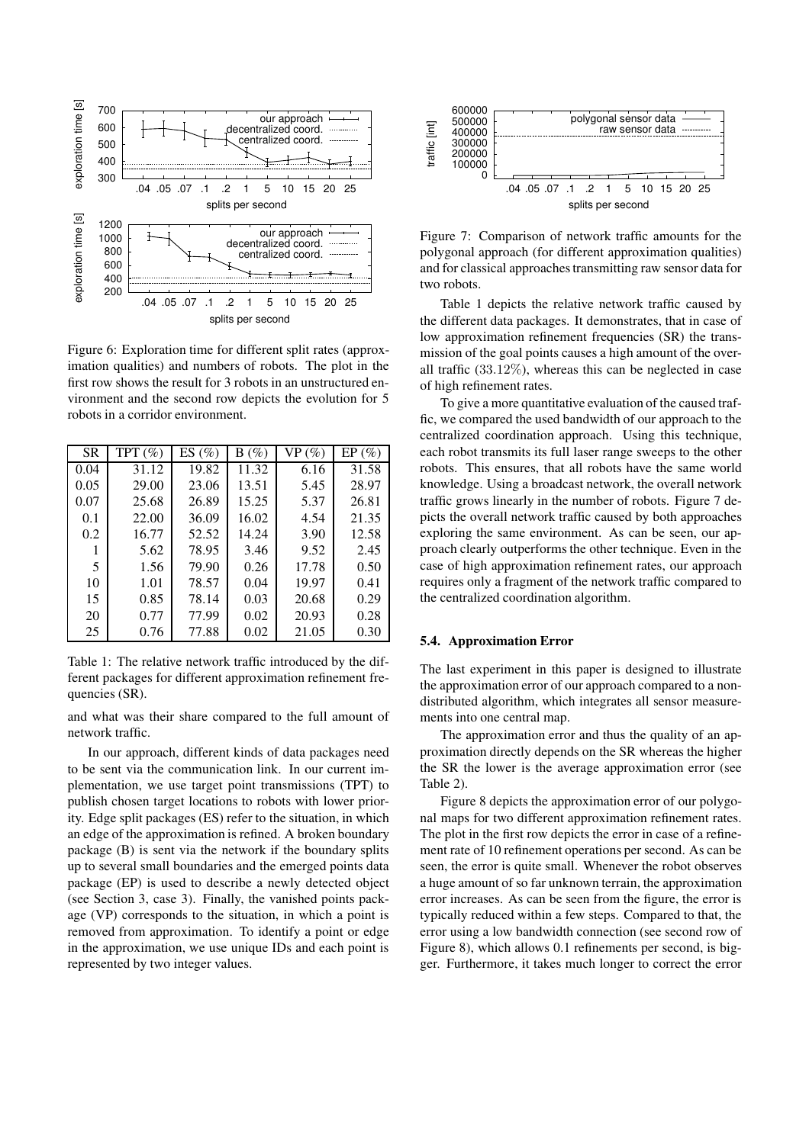

Figure 6: Exploration time for different split rates (approximation qualities) and numbers of robots. The plot in the first row shows the result for 3 robots in an unstructured environment and the second row depicts the evolution for 5 robots in a corridor environment.

| SR   | TPT $(\%)$ | ES(%) | $B(\%)$ | VP(%) | EP(%) |
|------|------------|-------|---------|-------|-------|
| 0.04 | 31.12      | 19.82 | 11.32   | 6.16  | 31.58 |
| 0.05 | 29.00      | 23.06 | 13.51   | 5.45  | 28.97 |
| 0.07 | 25.68      | 26.89 | 15.25   | 5.37  | 26.81 |
| 0.1  | 22.00      | 36.09 | 16.02   | 4.54  | 21.35 |
| 0.2  | 16.77      | 52.52 | 14.24   | 3.90  | 12.58 |
|      | 5.62       | 78.95 | 3.46    | 9.52  | 2.45  |
| 5    | 1.56       | 79.90 | 0.26    | 17.78 | 0.50  |
| 10   | 1.01       | 78.57 | 0.04    | 19.97 | 0.41  |
| 15   | 0.85       | 78.14 | 0.03    | 20.68 | 0.29  |
| 20   | 0.77       | 77.99 | 0.02    | 20.93 | 0.28  |
| 25   | 0.76       | 77.88 | 0.02    | 21.05 | 0.30  |

Table 1: The relative network traffic introduced by the different packages for different approximation refinement frequencies (SR).

and what was their share compared to the full amount of network traffic.

In our approach, different kinds of data packages need to be sent via the communication link. In our current implementation, we use target point transmissions (TPT) to publish chosen target locations to robots with lower priority. Edge split packages (ES) refer to the situation, in which an edge of the approximation is refined. A broken boundary package (B) is sent via the network if the boundary splits up to several small boundaries and the emerged points data package (EP) is used to describe a newly detected object (see Section 3, case 3). Finally, the vanished points package (VP) corresponds to the situation, in which a point is removed from approximation. To identify a point or edge in the approximation, we use unique IDs and each point is represented by two integer values.



Figure 7: Comparison of network traffic amounts for the polygonal approach (for different approximation qualities) and for classical approaches transmitting raw sensor data for two robots.

Table 1 depicts the relative network traffic caused by the different data packages. It demonstrates, that in case of low approximation refinement frequencies (SR) the transmission of the goal points causes a high amount of the overall traffic  $(33.12\%)$ , whereas this can be neglected in case of high refinement rates.

To give a more quantitative evaluation of the caused traffic, we compared the used bandwidth of our approach to the centralized coordination approach. Using this technique, each robot transmits its full laser range sweeps to the other robots. This ensures, that all robots have the same world knowledge. Using a broadcast network, the overall network traffic grows linearly in the number of robots. Figure 7 depicts the overall network traffic caused by both approaches exploring the same environment. As can be seen, our approach clearly outperforms the other technique. Even in the case of high approximation refinement rates, our approach requires only a fragment of the network traffic compared to the centralized coordination algorithm.

#### **5.4. Approximation Error**

The last experiment in this paper is designed to illustrate the approximation error of our approach compared to a nondistributed algorithm, which integrates all sensor measurements into one central map.

The approximation error and thus the quality of an approximation directly depends on the SR whereas the higher the SR the lower is the average approximation error (see Table 2).

Figure 8 depicts the approximation error of our polygonal maps for two different approximation refinement rates. The plot in the first row depicts the error in case of a refinement rate of 10 refinement operations per second. As can be seen, the error is quite small. Whenever the robot observes a huge amount of so far unknown terrain, the approximation error increases. As can be seen from the figure, the error is typically reduced within a few steps. Compared to that, the error using a low bandwidth connection (see second row of Figure 8), which allows 0.1 refinements per second, is bigger. Furthermore, it takes much longer to correct the error